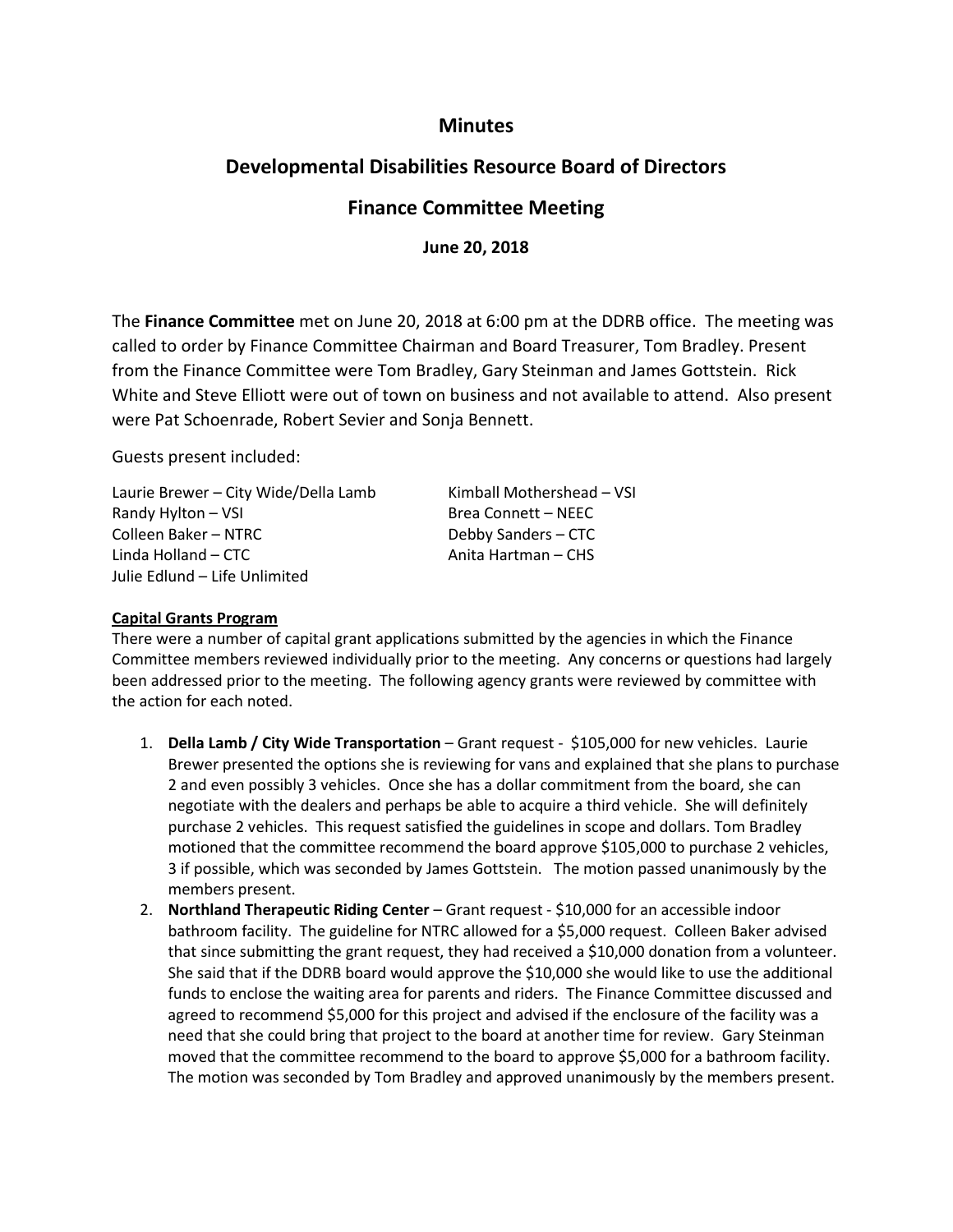### **Minutes**

# **Developmental Disabilities Resource Board of Directors**

## **Finance Committee Meeting**

**June 20, 2018**

The **Finance Committee** met on June 20, 2018 at 6:00 pm at the DDRB office. The meeting was called to order by Finance Committee Chairman and Board Treasurer, Tom Bradley. Present from the Finance Committee were Tom Bradley, Gary Steinman and James Gottstein. Rick White and Steve Elliott were out of town on business and not available to attend. Also present were Pat Schoenrade, Robert Sevier and Sonja Bennett.

Guests present included:

Laurie Brewer – City Wide/Della Lamb Kimball Mothershead – VSI Randy Hylton – VSI Brea Connett – NEEC Colleen Baker – NTRC Debby Sanders – CTC Linda Holland – CTC Anita Hartman – CHS Julie Edlund – Life Unlimited

#### **Capital Grants Program**

There were a number of capital grant applications submitted by the agencies in which the Finance Committee members reviewed individually prior to the meeting. Any concerns or questions had largely been addressed prior to the meeting. The following agency grants were reviewed by committee with the action for each noted.

- 1. **Della Lamb / City Wide Transportation** Grant request \$105,000 for new vehicles. Laurie Brewer presented the options she is reviewing for vans and explained that she plans to purchase 2 and even possibly 3 vehicles. Once she has a dollar commitment from the board, she can negotiate with the dealers and perhaps be able to acquire a third vehicle. She will definitely purchase 2 vehicles. This request satisfied the guidelines in scope and dollars. Tom Bradley motioned that the committee recommend the board approve \$105,000 to purchase 2 vehicles, 3 if possible, which was seconded by James Gottstein. The motion passed unanimously by the members present.
- 2. **Northland Therapeutic Riding Center** Grant request \$10,000 for an accessible indoor bathroom facility. The guideline for NTRC allowed for a \$5,000 request. Colleen Baker advised that since submitting the grant request, they had received a \$10,000 donation from a volunteer. She said that if the DDRB board would approve the \$10,000 she would like to use the additional funds to enclose the waiting area for parents and riders. The Finance Committee discussed and agreed to recommend \$5,000 for this project and advised if the enclosure of the facility was a need that she could bring that project to the board at another time for review. Gary Steinman moved that the committee recommend to the board to approve \$5,000 for a bathroom facility. The motion was seconded by Tom Bradley and approved unanimously by the members present.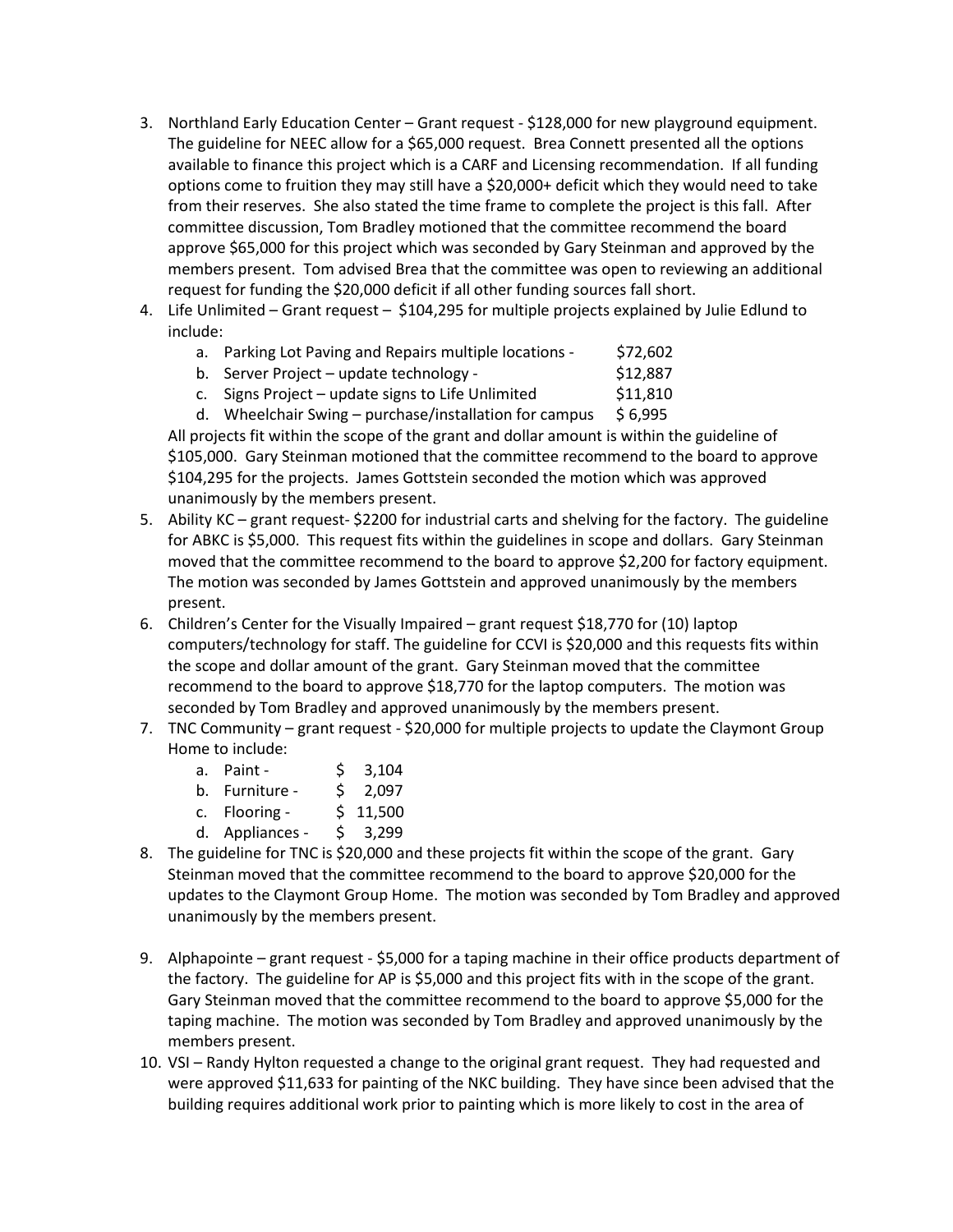- 3. Northland Early Education Center Grant request \$128,000 for new playground equipment. The guideline for NEEC allow for a \$65,000 request. Brea Connett presented all the options available to finance this project which is a CARF and Licensing recommendation. If all funding options come to fruition they may still have a \$20,000+ deficit which they would need to take from their reserves. She also stated the time frame to complete the project is this fall. After committee discussion, Tom Bradley motioned that the committee recommend the board approve \$65,000 for this project which was seconded by Gary Steinman and approved by the members present. Tom advised Brea that the committee was open to reviewing an additional request for funding the \$20,000 deficit if all other funding sources fall short.
- 4. Life Unlimited Grant request \$104,295 for multiple projects explained by Julie Edlund to include:
	- a. Parking Lot Paving and Repairs multiple locations \$72,602
	- b. Server Project update technology  $$12,887$
	- c. Signs Project update signs to Life Unlimited  $$11,810$
	- d. Wheelchair Swing purchase/installation for campus  $$ 6,995$

All projects fit within the scope of the grant and dollar amount is within the guideline of \$105,000. Gary Steinman motioned that the committee recommend to the board to approve \$104,295 for the projects. James Gottstein seconded the motion which was approved unanimously by the members present.

- 5. Ability KC grant request- \$2200 for industrial carts and shelving for the factory. The guideline for ABKC is \$5,000. This request fits within the guidelines in scope and dollars. Gary Steinman moved that the committee recommend to the board to approve \$2,200 for factory equipment. The motion was seconded by James Gottstein and approved unanimously by the members present.
- 6. Children's Center for the Visually Impaired grant request \$18,770 for (10) laptop computers/technology for staff. The guideline for CCVI is \$20,000 and this requests fits within the scope and dollar amount of the grant. Gary Steinman moved that the committee recommend to the board to approve \$18,770 for the laptop computers. The motion was seconded by Tom Bradley and approved unanimously by the members present.
- 7. TNC Community grant request \$20,000 for multiple projects to update the Claymont Group Home to include:
	- a. Paint \$ 3,104
	- b. Furniture \$ 2,097
	- c. Flooring \$ 11,500
	- d. Appliances \$ 3,299
- 8. The guideline for TNC is \$20,000 and these projects fit within the scope of the grant. Gary Steinman moved that the committee recommend to the board to approve \$20,000 for the updates to the Claymont Group Home. The motion was seconded by Tom Bradley and approved unanimously by the members present.
- 9. Alphapointe grant request \$5,000 for a taping machine in their office products department of the factory. The guideline for AP is \$5,000 and this project fits with in the scope of the grant. Gary Steinman moved that the committee recommend to the board to approve \$5,000 for the taping machine. The motion was seconded by Tom Bradley and approved unanimously by the members present.
- 10. VSI Randy Hylton requested a change to the original grant request. They had requested and were approved \$11,633 for painting of the NKC building. They have since been advised that the building requires additional work prior to painting which is more likely to cost in the area of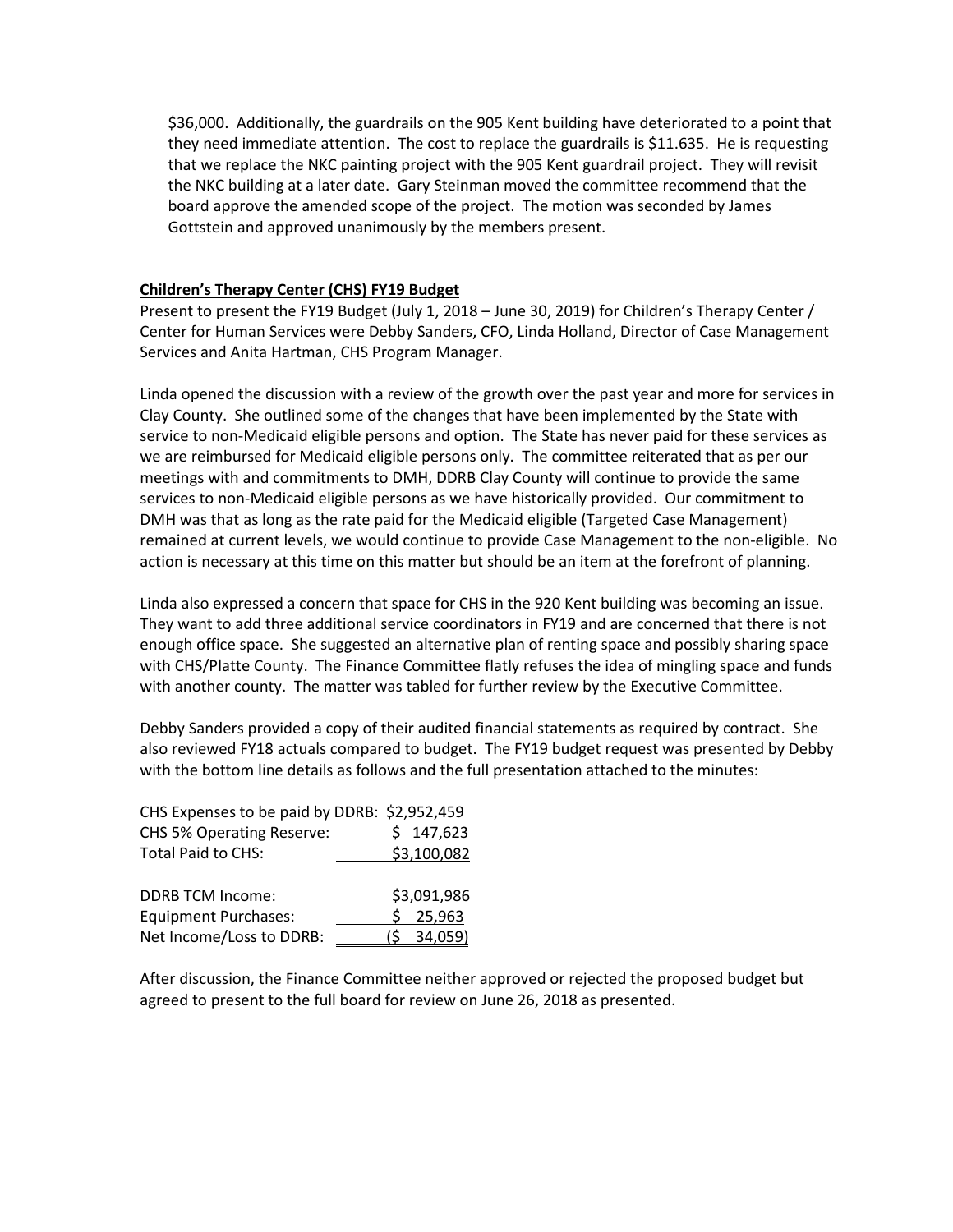\$36,000. Additionally, the guardrails on the 905 Kent building have deteriorated to a point that they need immediate attention. The cost to replace the guardrails is \$11.635. He is requesting that we replace the NKC painting project with the 905 Kent guardrail project. They will revisit the NKC building at a later date. Gary Steinman moved the committee recommend that the board approve the amended scope of the project. The motion was seconded by James Gottstein and approved unanimously by the members present.

#### **Children's Therapy Center (CHS) FY19 Budget**

Present to present the FY19 Budget (July 1, 2018 – June 30, 2019) for Children's Therapy Center / Center for Human Services were Debby Sanders, CFO, Linda Holland, Director of Case Management Services and Anita Hartman, CHS Program Manager.

Linda opened the discussion with a review of the growth over the past year and more for services in Clay County. She outlined some of the changes that have been implemented by the State with service to non-Medicaid eligible persons and option. The State has never paid for these services as we are reimbursed for Medicaid eligible persons only. The committee reiterated that as per our meetings with and commitments to DMH, DDRB Clay County will continue to provide the same services to non-Medicaid eligible persons as we have historically provided. Our commitment to DMH was that as long as the rate paid for the Medicaid eligible (Targeted Case Management) remained at current levels, we would continue to provide Case Management to the non-eligible. No action is necessary at this time on this matter but should be an item at the forefront of planning.

Linda also expressed a concern that space for CHS in the 920 Kent building was becoming an issue. They want to add three additional service coordinators in FY19 and are concerned that there is not enough office space. She suggested an alternative plan of renting space and possibly sharing space with CHS/Platte County. The Finance Committee flatly refuses the idea of mingling space and funds with another county. The matter was tabled for further review by the Executive Committee.

Debby Sanders provided a copy of their audited financial statements as required by contract. She also reviewed FY18 actuals compared to budget. The FY19 budget request was presented by Debby with the bottom line details as follows and the full presentation attached to the minutes:

| CHS Expenses to be paid by DDRB: \$2,952,459 |                |
|----------------------------------------------|----------------|
| CHS 5% Operating Reserve:                    | \$147,623      |
| Total Paid to CHS:                           | \$3,100,082    |
|                                              |                |
| <b>DDRB TCM Income:</b>                      | \$3,091,986    |
| <b>Equipment Purchases:</b>                  | 25,963         |
| Net Income/Loss to DDRB:                     | (\$    34,059) |

After discussion, the Finance Committee neither approved or rejected the proposed budget but agreed to present to the full board for review on June 26, 2018 as presented.